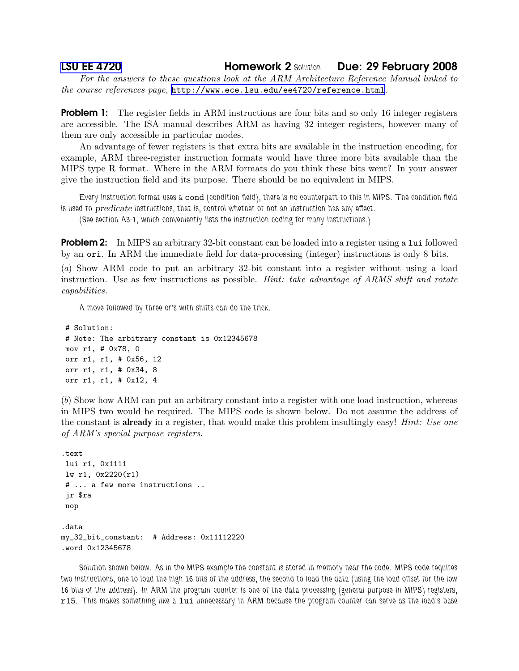## [LSU EE 4720](http://www.ece.lsu.edu/ee4720/) **Homework 2 Solution** Due: 29 February 2008

For the answers to these questions look at the ARM Architecture Reference Manual linked to the course references page, <http://www.ece.lsu.edu/ee4720/reference.html>.

**Problem 1:** The register fields in ARM instructions are four bits and so only 16 integer registers are accessible. The ISA manual describes ARM as having 32 integer registers, however many of them are only accessible in particular modes.

An advantage of fewer registers is that extra bits are available in the instruction encoding, for example, ARM three-register instruction formats would have three more bits available than the MIPS type R format. Where in the ARM formats do you think these bits went? In your answer give the instruction field and its purpose. There should be no equivalent in MIPS.

Every instruction format uses a cond (condition field), there is no counterpart to this in MIPS. The condition field is used to predicate instructions, that is, control whether or not an instruction has any effect.

(See section A3-1, which conveniently lists the instruction coding for many instructions.)

**Problem 2:** In MIPS an arbitrary 32-bit constant can be loaded into a register using a lui followed by an ori. In ARM the immediate field for data-processing (integer) instructions is only 8 bits.

(a) Show ARM code to put an arbitrary 32-bit constant into a register without using a load instruction. Use as few instructions as possible. *Hint: take advantage of ARMS shift and rotate* capabilities.

A move followed by three or's with shifts can do the trick.

```
# Solution:
# Note: The arbitrary constant is 0x12345678
mov r1, # 0x78, 0
orr r1, r1, # 0x56, 12
orr r1, r1, # 0x34, 8
orr r1, r1, # 0x12, 4
```
(b) Show how ARM can put an arbitrary constant into a register with one load instruction, whereas in MIPS two would be required. The MIPS code is shown below. Do not assume the address of the constant is **already** in a register, that would make this problem insultingly easy! *Hint: Use one* of ARM's special purpose registers.

```
.text
lui r1, 0x1111
lw r1, 0x2220(r1)
# ... a few more instructions ..
 jr $ra
nop
.data
my_32_bit_constant: # Address: 0x11112220
.word 0x12345678
```
Solution shown below. As in the MIPS example the constant is stored in memory near the code. MIPS code requires two instructions, one to load the high 16 bits of the address, the second to load the data (using the load offset for the low 16 bits of the address). In ARM the program counter is one of the data processing (general purpose in MIPS) registers, r15. This makes something like a lui unnecessary in ARM because the program counter can serve as the load's base